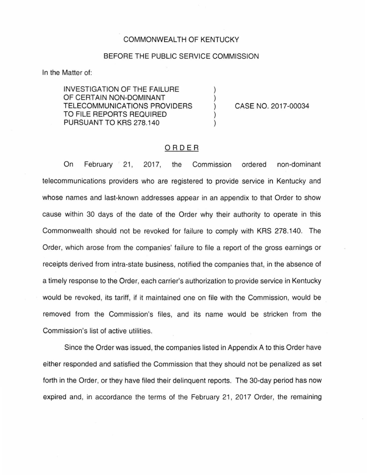#### COMMONWEALTH OF KENTUCKY

## BEFORE THE PUBLIC SERVICE COMMISSION

In the Matter of:

INVESTIGATION OF THE FAILURE OF CERTAIN NON-DOMINANT TELECOMMUNICATIONS PROVIDERS TO FILE REPORTS REQUIRED PURSUANT TO KRS 278.140

CASE NO. 2017-00034

### ORDER

 $\mathcal{L}$ 

On February 21, 2017, the Commission ordered non-dominant telecommunications providers who are registered to provide service in Kentucky and whose names and last-known addresses appear in an appendix to that Order to show cause within 30 days of the date of the Order why their authority to operate in this Commonwealth should not be revoked for failure to comply with KRS 278.140. The Order, which arose from the companies' failure to file a report of the gross earnings or receipts derived from intra-state business, notified the companies that, in the absence of a timely response to the Order, each carrier's authorization to provide service in Kentucky would be revoked, its tariff, if it maintained one on file with the Commission, would be removed from the Commission's files, and its name would be stricken from the Commission's list of active utilities.

Since the Order was issued, the companies listed in Appendix A to this Order have either responded and satisfied the Commission that they should not be penalized as set forth in the Order, or they have filed their delinquent reports. The 30-day period has now expired and, in accordance the terms of the February 21, 2017 Order, the remaining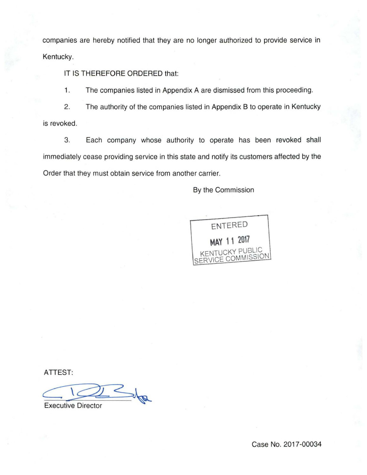companies are hereby notified that they are no longer authorized to provide service in Kentucky.

IT IS THEREFORE ORDERED that:

1. The companies listed in Appendix A are dismissed from this proceeding.

2. The authority of the companies listed in Appendix B to operate in Kentucky is revoked.

3. Each company whose authority to operate has been revoked shall immediately cease providing service in this state and notify its customers affected by the Order that they must obtain service from another carrier.

By the Commission



ATTEST:

Executive Director

Case No. 2017-00034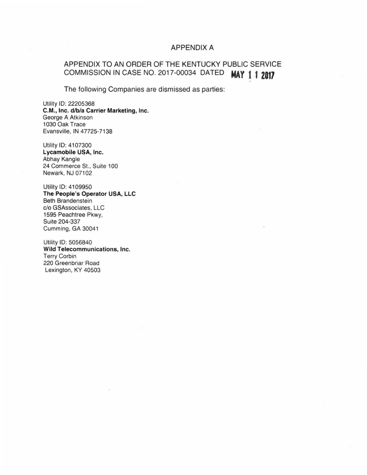## APPENDIX A

# APPENDIX TO AN ORDER OF THE KENTUCKY PUBLIC SERVICE COMMISSION IN CASE NO. 2017-00034 DATED **MAY f 1 2017**

The following Companies are dismissed as parties:

Utility 10: 22205368 C.M., Inc. d/b/a Carrier Marketing, Inc. George A Atkinson 1030 Oak Trace Evansville, IN 47725-7138

Utility 10: 4107300 Lycamobile USA, Inc. Abhay Kangle 24 Commerce St., Suite 100 Newark, NJ 07102

Utility 10: 4109950 The People's Operator USA, LLC Beth Brandenstein c/o GSAssociates, LLC 1595 Peachtree Pkwy. Suite 204-337 Cumming, GA 30041

Utility 10: 5056840 Wild Telecommunications, Inc. Terry Corbin 220 Greenbriar Road Lexington, KY 40503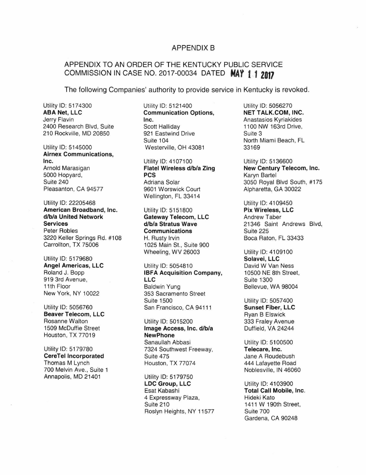#### **APPENDIX B**

## APPENDIX TO AN ORDER OF THE KENTUCKY PUBLIC SERVICE COMMISSION IN CASE NO. 2017-00034 DATED **NAY t 1 Z017**

The following Companies' authority to provide service in Kentucky is revoked.

ABA Net, LLC<br>
Jerry Flavin **Example 18 Communication Options**, Jerry Flavin 2400 Research Blvd, Suite Scott Halliday (2400 Research Blvd, Suite Scott Halliday (210 Rockville, MD 20850 210 Rockville, MD 20850

Airnex Communications, Inc. Utility ID: 4107100 Utility ID: 5136600 Pleasanton, CA 94577

Utility ID: 22205468<br> **American Broadband, Inc.** Utility ID: 5151800 **Pix Wireless, LLC** American Broadband, Inc.<br>d/b/a United Network d/b/a United Network **Gateway Telecom, LLC** Andrew Taber<br>
d/b/a Stratus Wave 21346 Saint 3220 Keller Springs Rd. #108 H. Rusty Irvin Boca Raton, FL 33433 Carrollton, TX 75006 1025 Main St., Suite 900

Utility ID: 5179680 Solavei, LLC

**Beaver Telecom, LLC Ryan B Elswick** Rosanne Walton Utility ID: 5015200 333 Fraley Avenue Houston, TX 77019 New Phone

Thomas M Lynch **Houston, TX 77074** 444 Lafayette Road 4700 Melvin Ave., Suite 1 700 Melvin Ave., Suite 1 Annapolis, MD 21401 Utility ID: 5179750

Utility ID: 5174300 Utility ID: 5121400 Utility ID: 5056270<br>ABA Net. LLC Communication Options. NET TALK.COM. INC. **Inc.** Anastasios Kyriakides<br>Scott Hallidav **Flavin Inc.** Anastasios Kyriakides Suite 104 **North Miami Beach, FL** Utility ID: 5145000 Westerville, OH 43081 33169

5000 Hopyard, PCS Karyn Bartel Wellington, FL 33414

> **Communications** Wheeling, WV 26003 Utility ID: 4109100

Angel Americas, LLC Utility ID: 5054810 David W Van Ness<br>
Roland J. Bopp **David W Van Ness**<br> **IBFA Acquisition Company.** 10500 NE 8th Stree IBFA Acquisition Company, 10500 NE 8th Street, 919 3rd Avenue, LLC<br>
11th Floor Contract Contract Contract Contract Contract Contract Contract Contract Contract Contract Contract Contract Contract Contract Contract Contract Contract Contract Contract Contract Contract C 11th Floor Baldwin Yung Bellevue, WA 98004<br>
New York, NY 10022 353 Sacramento Street 353 Sacramento Street Suite 1500<br>
San Francisco. CA 94111 **Sunset Fiber, LLC** Utility ID: 5056760 San Francisco, CA 94111

1509 McDuffie Street **Image Access, Inc. d/b/a** Duffield, VA 24244 Sanaullah Abbasi Utility ID: 5100500 Utility ID: 5179780 7324 Southwest Freeway, Telecare, Inc. CereTel Incorporated Suite 475 Suite 475

> LDC Group, LLC Utility ID: 4103900 Esat Kabashi **Total Call Mobile, Inc.** 4 Expressway Plaza, Fideki Kato Suite 210 1411 W 190th Street, Roslyn Heights, NY 11577 Suite 700

Arnold Marasigan **Flatel Wireless d/b/a Zing New Century Telecom, Inc.** New Century Telecom, Inc. Suite 240 <br>Pleasanton, CA 94577 30601 Worswick Court 3050 Royal Blvd South, #175

Services d/b/a Stratus Wave 21346 Saint Andrews Blvd,

Gardena, CA 90248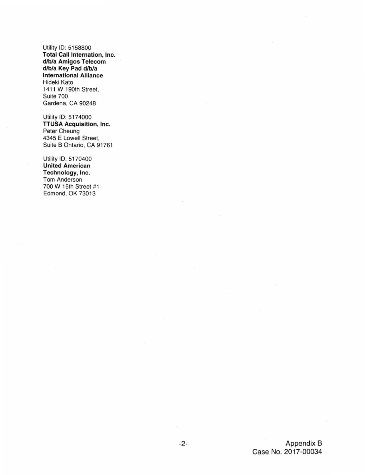Utility ID: 5158800 **Total Call Internation, Inc.** d/b/a Amigos Telecom d/b/a Key Pad d/b/a International Alliance Hideki Kato 1411 W 190th Street, Suite 700 Gardena, CA 90248

Utility ID: 5174000 TTUSA Acquisition, Inc. Peter Cheung 4345 E Lowell Street, Suite B Ontario, CA 91761

Utility ID: 5170400 United American Technology, Inc. Tom Anderson 700 W 15th Street #1 Edmond. OK 73013

> -2- Appendix B Case No. 2017-00034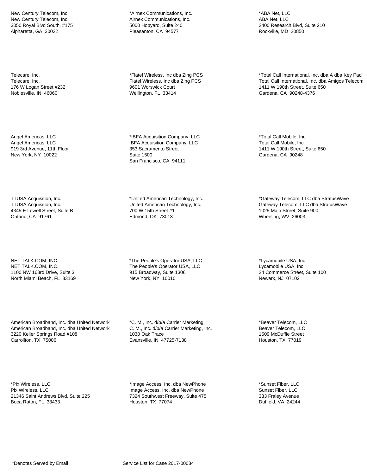New Century Telecom, Inc. New Century Telecom, Inc. 3050 Royal Blvd South, #175 Alpharetta, GA 30022

Telecare, Inc. Telecare, Inc. 176 W Logan Street #232 Noblesville, IN 46060

Angel Americas, LLC Angel Americas, LLC 919 3rd Avenue, 11th Floor New York, NY 10022

TTUSA Acquisition, Inc. TTUSA Acquisition, Inc. 4345 E Lowell Street, Suite B Ontario, CA 91761

NET TALK.COM, INC. NET TALK.COM, INC. 1100 NW 163rd Drive, Suite 3 North Miami Beach, FL 33169

American Broadband, Inc. dba United Network American Broadband, Inc. dba United Network 3220 Keller Springs Road #108 Carrollton, TX 75006

\*Pix Wireless, LLC Pix Wireless, LLC 21346 Saint Andrews Blvd, Suite 225 Boca Raton, FL 33433

\*Airnex Communications, Inc. Airnex Communications, Inc. 5000 Hopyard, Suite 240 Pleasanton, CA 94577

\*Flatel Wireless, Inc dba Zing PCS Flatel Wireless, Inc dba Zing PCS 9601 Worswick Court Wellington, FL 33414

\*IBFA Acquisition Company, LLC IBFA Acquisition Company, LLC 353 Sacramento Street Suite 1500 San Francisco, CA 94111

\*United American Technology, Inc. United American Technology, Inc. 700 W 15th Street #1 Edmond, OK 73013

\*The People's Operator USA, LLC The People's Operator USA, LLC 915 Broadway, Suite 1306 New York, NY 10010

\*C. M., Inc. d/b/a Carrier Marketing, C. M., Inc. d/b/a Carrier Marketing, Inc. 1030 Oak Trace Evansville, IN 47725-7138

\*Image Access, Inc. dba NewPhone Image Access, Inc. dba NewPhone 7324 Southwest Freeway, Suite 475 Houston, TX 77074

\*ABA Net, LLC ABA Net, LLC 2400 Research Blvd, Suite 210 Rockville, MD 20850

\*Total Call International, Inc. dba A dba Key Pad Total Call International, Inc. dba Amigos Telecom 1411 W 190th Street, Suite 650 Gardena, CA 90248-4376

\*Total Call Mobile, Inc. Total Call Mobile, Inc. 1411 W 190th Street, Suite 650 Gardena, CA 90248

\*Gateway Telecom, LLC dba StratusWave Gateway Telecom, LLC dba StratusWave 1025 Main Street, Suite 900 Wheeling, WV 26003

\*Lycamobile USA, Inc. Lycamobile USA, Inc. 24 Commerce Street, Suite 100 Newark, NJ 07102

\*Beaver Telecom, LLC Beaver Telecom, LLC 1509 McDuffie Street Houston, TX 77019

\*Sunset Fiber, LLC Sunset Fiber, LLC 333 Fraley Avenue Duffield, VA 24244